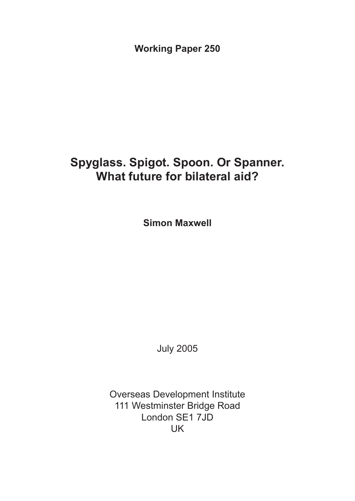**Working Paper 250**

## **Spyglass. Spigot. Spoon. Or Spanner. What future for bilateral aid?**

**Simon Maxwell**

July 2005

Overseas Development Institute 111 Westminster Bridge Road London SE1 7JD UK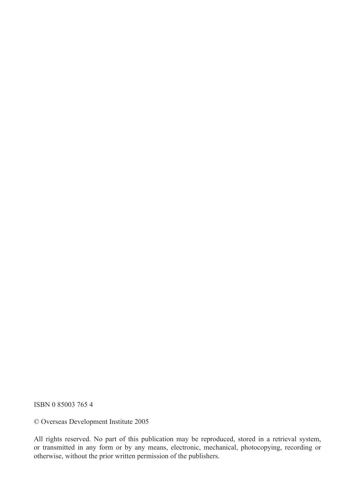ISBN 0 85003 765 4

© Overseas Development Institute 2005

All rights reserved. No part of this publication may be reproduced, stored in a retrieval system, or transmitted in any form or by any means, electronic, mechanical, photocopying, recording or otherwise, without the prior written permission of the publishers.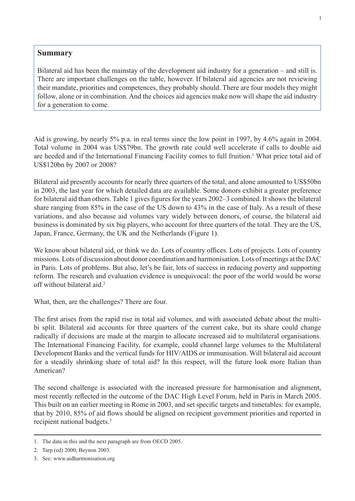## **Summary**

Bilateral aid has been the mainstay of the development aid industry for a generation – and still is. There are important challenges on the table, however. If bilateral aid agencies are not reviewing their mandate, priorities and competences, they probably should. There are four models they might follow, alone or in combination. And the choices aid agencies make now will shape the aid industry for a generation to come.

Aid is growing, by nearly 5% p.a. in real terms since the low point in 1997, by 4.6% again in 2004. Total volume in 2004 was US\$79bn. The growth rate could well accelerate if calls to double aid are heeded and if the International Financing Facility comes to full fruition.<sup>1</sup> What price total aid of US\$120bn by 2007 or 2008?

Bilateral aid presently accounts for nearly three quarters of the total, and alone amounted to US\$50bn in 2003, the last year for which detailed data are available. Some donors exhibit a greater preference for bilateral aid than others. Table 1 gives figures for the years 2002–3 combined. It shows the bilateral share ranging from 85% in the case of the US down to 43% in the case of Italy. As a result of these variations, and also because aid volumes vary widely between donors, of course, the bilateral aid business is dominated by six big players, who account for three quarters of the total. They are the US, Japan, France, Germany, the UK and the Netherlands (Figure 1).

We know about bilateral aid, or think we do. Lots of country offices. Lots of projects. Lots of country missions. Lots of discussion about donor coordination and harmonisation. Lots of meetings at the DAC in Paris. Lots of problems. But also, let's be fair, lots of success in reducing poverty and supporting reform. The research and evaluation evidence is unequivocal: the poor of the world would be worse off without bilateral aid.<sup>2</sup>

What, then, are the challenges? There are four.

The first arises from the rapid rise in total aid volumes, and with associated debate about the multibi split. Bilateral aid accounts for three quarters of the current cake, but its share could change radically if decisions are made at the margin to allocate increased aid to multilateral organisations. The International Financing Facility, for example, could channel large volumes to the Multilateral Development Banks and the vertical funds for HIV/AIDS or immunisation. Will bilateral aid account for a steadily shrinking share of total aid? In this respect, will the future look more Italian than American?

The second challenge is associated with the increased pressure for harmonisation and alignment, most recently reflected in the outcome of the DAC High Level Forum, held in Paris in March 2005. This built on an earlier meeting in Rome in 2003, and set specific targets and timetables: for example, that by 2010, 85% of aid flows should be aligned on recipient government priorities and reported in recipient national budgets.<sup>3</sup>

<sup>1.</sup> The data in this and the next paragraph are from OECD 2005.

<sup>2.</sup> Tarp (ed) 2000; Beynon 2003.

<sup>3.</sup> See: www.aidharmonisation.org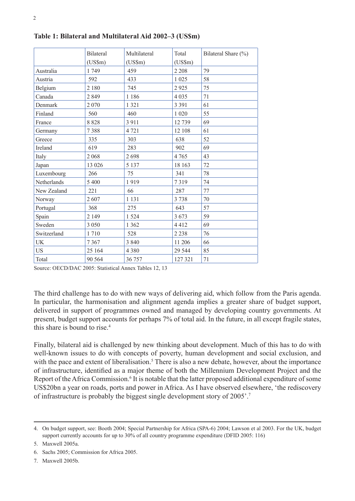|                | <b>Bilateral</b><br>$(US\$ m $)$ | Multilateral<br>$(US\$ m $)$ | Total<br>$(US\$ m $)$ | Bilateral Share (%) |
|----------------|----------------------------------|------------------------------|-----------------------|---------------------|
|                |                                  |                              |                       |                     |
| Australia      | 1749                             | 459                          | 2 2 0 8               | 79                  |
| Austria        | 592                              | 433                          | 1 0 2 5               | 58                  |
| Belgium        | 2 180                            | 745                          | 2925                  | 75                  |
| Canada         | 2849                             | 1 1 8 6                      | 4 0 3 5               | 71                  |
| Denmark        | 2 0 7 0                          | 1 3 2 1                      | 3 3 9 1               | 61                  |
| Finland        | 560                              | 460                          | 1 0 20                | 55                  |
| France         | 8 8 2 8                          | 3 9 1 1                      | 12739                 | 69                  |
| Germany        | 7388                             | 4721                         | 12 108                | 61                  |
| Greece         | 335                              | 303                          | 638                   | 52                  |
| <b>Ireland</b> | 619                              | 283                          | 902                   | 69                  |
| Italy          | 2 0 6 8                          | 2698                         | 4765                  | 43                  |
| Japan          | 13 0 26                          | 5 1 3 7                      | 18 163                | 72                  |
| Luxembourg     | 266                              | 75                           | 341                   | 78                  |
| Netherlands    | 5 400                            | 1919                         | 7319                  | 74                  |
| New Zealand    | 221                              | 66                           | 287                   | 77                  |
| Norway         | 2607                             | 1 1 3 1                      | 3738                  | 70                  |
| Portugal       | 368                              | 275                          | 643                   | 57                  |
| Spain          | 2 1 4 9                          | 1 5 2 4                      | 3 6 7 3               | 59                  |
| Sweden         | 3 0 5 0                          | 1 3 6 2                      | 4412                  | 69                  |
| Switzerland    | 1710                             | 528                          | 2 2 3 8               | 76                  |
| UK             | 7367                             | 3 8 4 0                      | 11 20 6               | 66                  |
| <b>US</b>      | 25 164                           | 4 3 8 0                      | 29 544                | 85                  |
| Total          | 90 564                           | 36 757                       | 127 321               | 71                  |

**Table 1: Bilateral and Multilateral Aid 2002–3 (US\$m)**

Source: OECD/DAC 2005: Statistical Annex Tables 12, 13

The third challenge has to do with new ways of delivering aid, which follow from the Paris agenda. In particular, the harmonisation and alignment agenda implies a greater share of budget support, delivered in support of programmes owned and managed by developing country governments. At present, budget support accounts for perhaps 7% of total aid. In the future, in all except fragile states, this share is bound to rise.<sup>4</sup>

Finally, bilateral aid is challenged by new thinking about development. Much of this has to do with well-known issues to do with concepts of poverty, human development and social exclusion, and with the pace and extent of liberalisation.<sup>5</sup> There is also a new debate, however, about the importance of infrastructure, identified as a major theme of both the Millennium Development Project and the Report of the Africa Commission.<sup>6</sup> It is notable that the latter proposed additional expenditure of some US\$20bn a year on roads, ports and power in Africa. As I have observed elsewhere, 'the rediscovery of infrastructure is probably the biggest single development story of 2005'.7

7. Maxwell 2005b.

<sup>4.</sup> On budget support, see: Booth 2004; Special Partnership for Africa (SPA-6) 2004; Lawson et al 2003. For the UK, budget support currently accounts for up to 30% of all country programme expenditure (DFID 2005: 116)

<sup>5.</sup> Maxwell 2005a.

<sup>6.</sup> Sachs 2005; Commission for Africa 2005.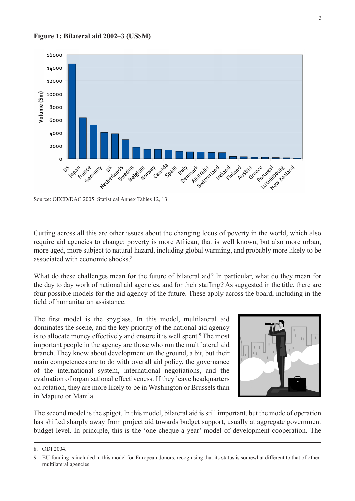



Source: OECD/DAC 2005: Statistical Annex Tables 12, 13

Cutting across all this are other issues about the changing locus of poverty in the world, which also require aid agencies to change: poverty is more African, that is well known, but also more urban, more aged, more subject to natural hazard, including global warming, and probably more likely to be associated with economic shocks.8

What do these challenges mean for the future of bilateral aid? In particular, what do they mean for the day to day work of national aid agencies, and for their staffing? As suggested in the title, there are four possible models for the aid agency of the future. These apply across the board, including in the field of humanitarian assistance.

The first model is the spyglass. In this model, multilateral aid dominates the scene, and the key priority of the national aid agency is to allocate money effectively and ensure it is well spent.<sup>9</sup> The most important people in the agency are those who run the multilateral aid branch. They know about development on the ground, a bit, but their main competences are to do with overall aid policy, the governance of the international system, international negotiations, and the evaluation of organisational effectiveness. If they leave headquarters on rotation, they are more likely to be in Washington or Brussels than in Maputo or Manila.



The second model is the spigot. In this model, bilateral aid is still important, but the mode of operation has shifted sharply away from project aid towards budget support, usually at aggregate government budget level. In principle, this is the 'one cheque a year' model of development cooperation. The

<sup>8.</sup> ODI 2004.

<sup>9.</sup> EU funding is included in this model for European donors, recognising that its status is somewhat different to that of other multilateral agencies.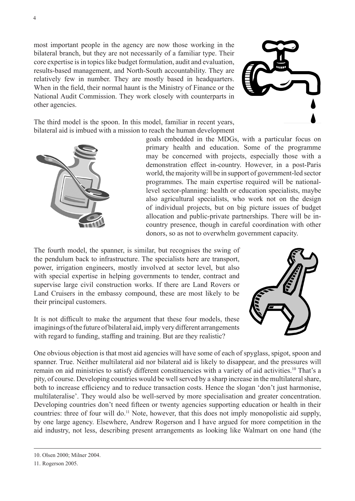most important people in the agency are now those working in the bilateral branch, but they are not necessarily of a familiar type. Their core expertise is in topics like budget formulation, audit and evaluation, results-based management, and North-South accountability. They are relatively few in number. They are mostly based in headquarters. When in the field, their normal haunt is the Ministry of Finance or the National Audit Commission. They work closely with counterparts in other agencies.



The third model is the spoon. In this model, familiar in recent years, bilateral aid is imbued with a mission to reach the human development



goals embedded in the MDGs, with a particular focus on primary health and education. Some of the programme may be concerned with projects, especially those with a demonstration effect in-country. However, in a post-Paris world, the majority will be in support of government-led sector programmes. The main expertise required will be nationallevel sector-planning: health or education specialists, maybe also agricultural specialists, who work not on the design of individual projects, but on big picture issues of budget allocation and public-private partnerships. There will be incountry presence, though in careful coordination with other donors, so as not to overwhelm government capacity.

The fourth model, the spanner, is similar, but recognises the swing of the pendulum back to infrastructure. The specialists here are transport, power, irrigation engineers, mostly involved at sector level, but also with special expertise in helping governments to tender, contract and supervise large civil construction works. If there are Land Rovers or Land Cruisers in the embassy compound, these are most likely to be their principal customers.

It is not difficult to make the argument that these four models, these imaginings of the future of bilateral aid, imply very different arrangements with regard to funding, staffing and training. But are they realistic?



One obvious objection is that most aid agencies will have some of each of spyglass, spigot, spoon and spanner. True. Neither multilateral aid nor bilateral aid is likely to disappear, and the pressures will remain on aid ministries to satisfy different constituencies with a variety of aid activities.10 That's a pity, of course. Developing countries would be well served by a sharp increase in the multilateral share, both to increase efficiency and to reduce transaction costs. Hence the slogan 'don't just harmonise, multilateralise'. They would also be well-served by more specialisation and greater concentration. Developing countries don't need fifteen or twenty agencies supporting education or health in their countries: three of four will do.11 Note, however, that this does not imply monopolistic aid supply, by one large agency. Elsewhere, Andrew Rogerson and I have argued for more competition in the aid industry, not less, describing present arrangements as looking like Walmart on one hand (the

<sup>10.</sup> Olsen 2000; Milner 2004.

<sup>11.</sup> Rogerson 2005.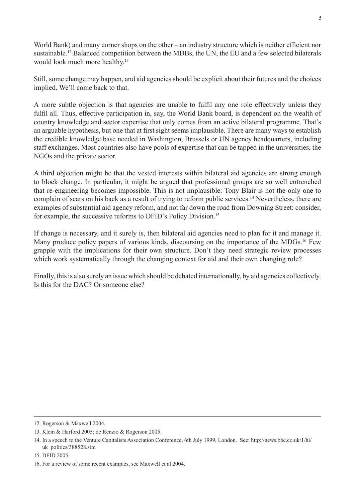World Bank) and many corner shops on the other – an industry structure which is neither efficient nor sustainable.<sup>12</sup> Balanced competition between the MDBs, the UN, the EU and a few selected bilaterals would look much more healthy.<sup>13</sup>

Still, some change may happen, and aid agencies should be explicit about their futures and the choices implied. We'll come back to that.

A more subtle objection is that agencies are unable to fulfil any one role effectively unless they fulfil all. Thus, effective participation in, say, the World Bank board, is dependent on the wealth of country knowledge and sector expertise that only comes from an active bilateral programme. That's an arguable hypothesis, but one that at first sight seems implausible. There are many ways to establish the credible knowledge base needed in Washington, Brussels or UN agency headquarters, including staff exchanges. Most countries also have pools of expertise that can be tapped in the universities, the NGOs and the private sector.

A third objection might be that the vested interests within bilateral aid agencies are strong enough to block change. In particular, it might be argued that professional groups are so well entrenched that re-engineering becomes impossible. This is not implausible: Tony Blair is not the only one to complain of scars on his back as a result of trying to reform public services.<sup>14</sup> Nevertheless, there are examples of substantial aid agency reform, and not far down the road from Downing Street: consider, for example, the successive reforms to DFID's Policy Division.<sup>15</sup>

If change is necessary, and it surely is, then bilateral aid agencies need to plan for it and manage it. Many produce policy papers of various kinds, discoursing on the importance of the MDGs.<sup>16</sup> Few grapple with the implications for their own structure. Don't they need strategic review processes which work systematically through the changing context for aid and their own changing role?

Finally, this is also surely an issue which should be debated internationally, by aid agencies collectively. Is this for the DAC? Or someone else?

<sup>12.</sup> Rogerson & Maxwell 2004.

<sup>13.</sup> Klein & Harford 2005; de Renzio & Rogerson 2005.

<sup>14.</sup> In a speech to the Venture Capitalists Association Conference, 6th July 1999, London. See: http://news.bbc.co.uk/1/hi/ uk\_politics/388528.stm

<sup>15.</sup> DFID 2005.

<sup>16.</sup> For a review of some recent examples, see Maxwell et al 2004.